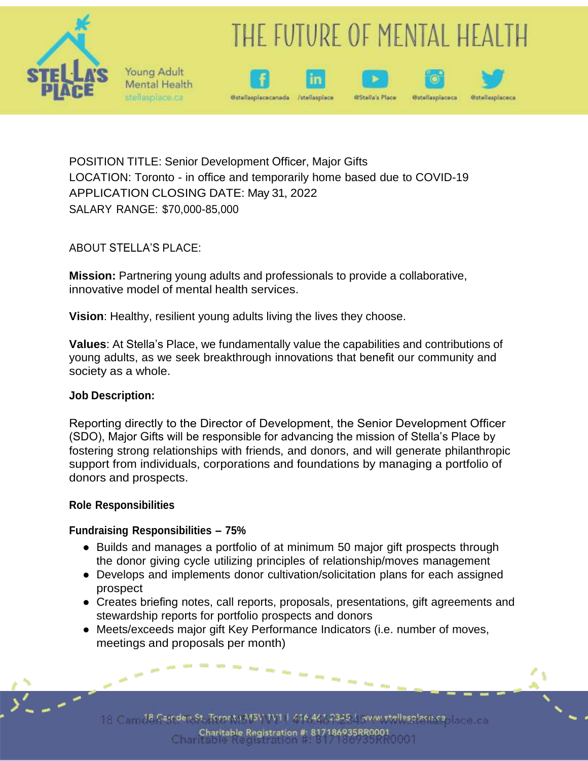

# THE FUTURE OF MENTAL HEALTH





/stellasplace





POSITION TITLE: Senior Development Officer, Major Gifts LOCATION: Toronto - in office and temporarily home based due to COVID-19 APPLICATION CLOSING DATE: May 31, 2022 SALARY RANGE: \$70,000-85,000

ABOUT STELLA'S PLACE:

Young Adult Mental Health stellasplace.ca

**Mission:** Partnering young adults and professionals to provide a collaborative, innovative model of mental health services.

**Vision**: Healthy, resilient young adults living the lives they choose.

**Values**: At Stella's Place, we fundamentally value the capabilities and contributions of young adults, as we seek breakthrough innovations that benefit our community and society as a whole.

#### **Job Description:**

Reporting directly to the Director of Development, the Senior Development Officer (SDO), Major Gifts will be responsible for advancing the mission of Stella's Place by fostering strong relationships with friends, and donors, and will generate philanthropic support from individuals, corporations and foundations by managing a portfolio of donors and prospects.

#### **Role Responsibilities**

## **Fundraising Responsibilities – 75%**

- Builds and manages a portfolio of at minimum 50 major gift prospects through the donor giving cycle utilizing principles of relationship/moves management
- Develops and implements donor cultivation/solicitation plans for each assigned prospect
- Creates briefing notes, call reports, proposals, presentations, gift agreements and stewardship reports for portfolio prospects and donors
- Meets/exceeds major gift Key Performance Indicators (i.e. number of moves, meetings and proposals per month)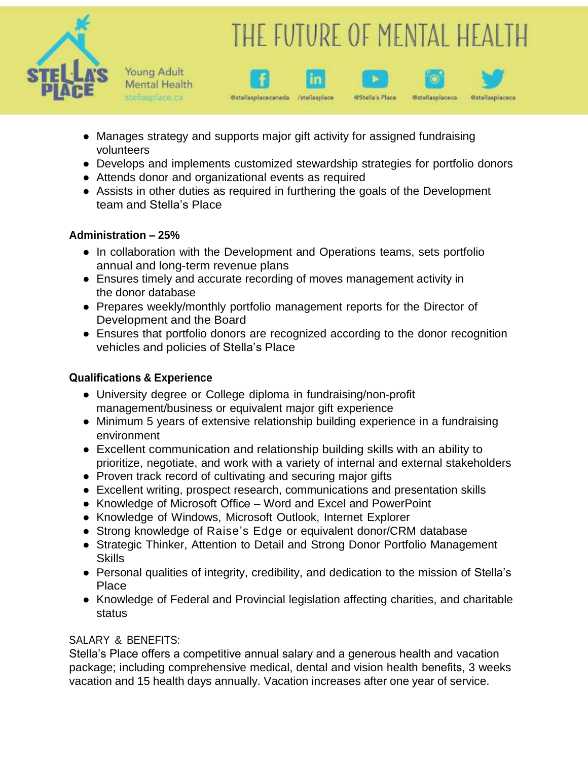

# THE FUTURE OF MENTAL HEALTH

**@Stalla's Place** 

**Ostallasplaceca** 

Gstellasplaceca



• Manages strategy and supports major gift activity for assigned fundraising volunteers

@stellasplacecanada /stellasplace

- Develops and implements customized stewardship strategies for portfolio donors
- Attends donor and organizational events as required
- Assists in other duties as required in furthering the goals of the Development team and Stella's Place

## **Administration – 25%**

- In collaboration with the Development and Operations teams, sets portfolio annual and long-term revenue plans
- Ensures timely and accurate recording of moves management activity in the donor database
- Prepares weekly/monthly portfolio management reports for the Director of Development and the Board
- Ensures that portfolio donors are recognized according to the donor recognition vehicles and policies of Stella's Place

### **Qualifications & Experience**

- University degree or College diploma in fundraising/non-profit management/business or equivalent major gift experience
- Minimum 5 years of extensive relationship building experience in a fundraising environment
- Excellent communication and relationship building skills with an ability to prioritize, negotiate, and work with a variety of internal and external stakeholders
- Proven track record of cultivating and securing major gifts
- Excellent writing, prospect research, communications and presentation skills
- Knowledge of Microsoft Office Word and Excel and PowerPoint
- Knowledge of Windows, Microsoft Outlook, Internet Explorer
- Strong knowledge of Raise's Edge or equivalent donor/CRM database
- Strategic Thinker, Attention to Detail and Strong Donor Portfolio Management Skills
- Personal qualities of integrity, credibility, and dedication to the mission of Stella's Place
- Knowledge of Federal and Provincial legislation affecting charities, and charitable status

## SALARY & BENEFITS:

Stella's Place offers a competitive annual salary and a generous health and vacation package; including comprehensive medical, dental and vision health benefits, 3 weeks vacation and 15 health days annually. Vacation increases after one year of service.